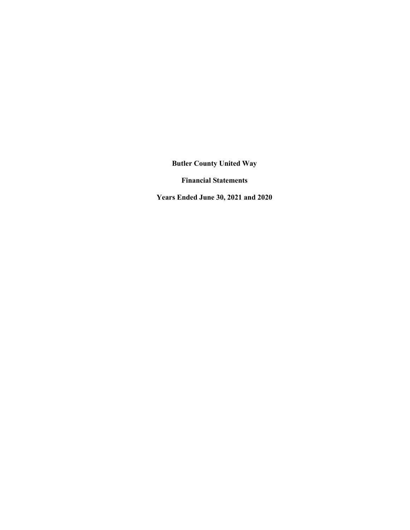**Butler County United Way**

**Financial Statements**

**Years Ended June 30, 2021 and 2020**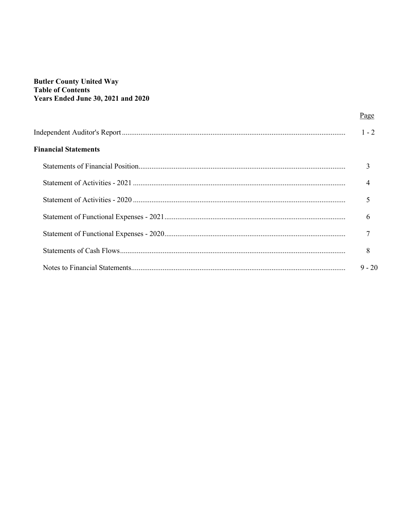# **Butler County United Way Table of Contents Years Ended June 30, 2021 and 2020**

|                             | Page     |
|-----------------------------|----------|
|                             | $1 - 2$  |
| <b>Financial Statements</b> |          |
|                             | 3        |
|                             | 4        |
|                             |          |
|                             | 6        |
|                             |          |
|                             | 8        |
|                             | $9 - 20$ |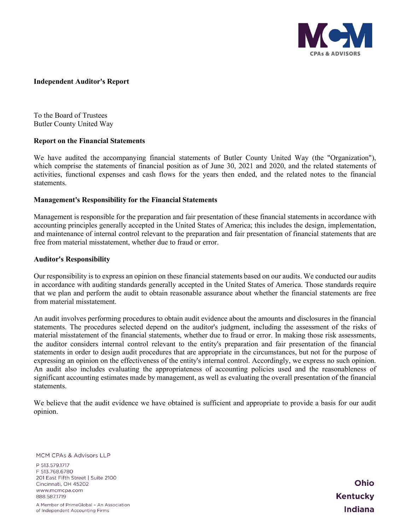

#### **Independent Auditor's Report**

To the Board of Trustees Butler County United Way

#### **Report on the Financial Statements**

We have audited the accompanying financial statements of Butler County United Way (the "Organization"), which comprise the statements of financial position as of June 30, 2021 and 2020, and the related statements of activities, functional expenses and cash flows for the years then ended, and the related notes to the financial statements.

#### **Management's Responsibility for the Financial Statements**

Management is responsible for the preparation and fair presentation of these financial statements in accordance with accounting principles generally accepted in the United States of America; this includes the design, implementation, and maintenance of internal control relevant to the preparation and fair presentation of financial statements that are free from material misstatement, whether due to fraud or error.

#### **Auditor's Responsibility**

Our responsibility is to express an opinion on these financial statements based on our audits. We conducted our audits in accordance with auditing standards generally accepted in the United States of America. Those standards require that we plan and perform the audit to obtain reasonable assurance about whether the financial statements are free from material misstatement.

An audit involves performing procedures to obtain audit evidence about the amounts and disclosures in the financial statements. The procedures selected depend on the auditor's judgment, including the assessment of the risks of material misstatement of the financial statements, whether due to fraud or error. In making those risk assessments, the auditor considers internal control relevant to the entity's preparation and fair presentation of the financial statements in order to design audit procedures that are appropriate in the circumstances, but not for the purpose of expressing an opinion on the effectiveness of the entity's internal control. Accordingly, we express no such opinion. An audit also includes evaluating the appropriateness of accounting policies used and the reasonableness of significant accounting estimates made by management, as well as evaluating the overall presentation of the financial statements.

We believe that the audit evidence we have obtained is sufficient and appropriate to provide a basis for our audit opinion.

**MCM CPAs & Advisors LLP** 

P 513.579.1717 F 513.768.6780 201 East Fifth Street | Suite 2100 Cincinnati, OH 45202 www.mcmcpa.com 888.587.1719

A Member of PrimeGlobal - An Association of Independent Accounting Firms

Ohio **Kentucky Indiana**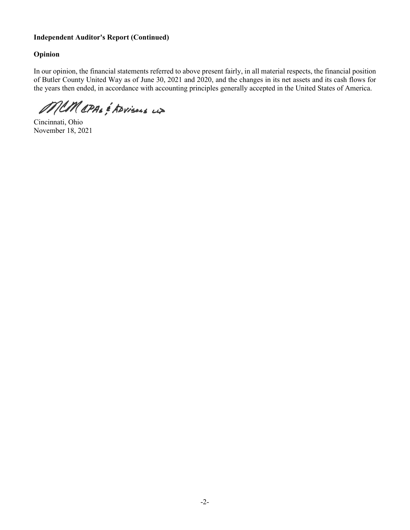# **Independent Auditor's Report (Continued)**

# **Opinion**

In our opinion, the financial statements referred to above present fairly, in all material respects, the financial position of Butler County United Way as of June 30, 2021 and 2020, and the changes in its net assets and its cash flows for the years then ended, in accordance with accounting principles generally accepted in the United States of America.

MUM APAS & ADVISONS UP

Cincinnati, Ohio November 18, 2021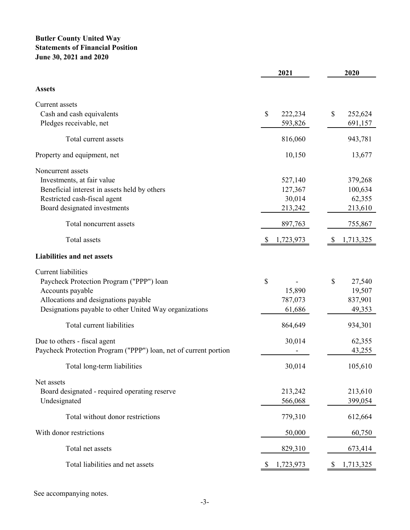# **Butler County United Way Statements of Financial Position June 30, 2021 and 2020**

|                                                                  | 2021          | 2020           |
|------------------------------------------------------------------|---------------|----------------|
| <b>Assets</b>                                                    |               |                |
| Current assets                                                   |               |                |
| Cash and cash equivalents                                        | \$<br>222,234 | \$<br>252,624  |
| Pledges receivable, net                                          | 593,826       | 691,157        |
| Total current assets                                             | 816,060       | 943,781        |
| Property and equipment, net                                      | 10,150        | 13,677         |
| Noncurrent assets                                                |               |                |
| Investments, at fair value                                       | 527,140       | 379,268        |
| Beneficial interest in assets held by others                     | 127,367       | 100,634        |
| Restricted cash-fiscal agent                                     | 30,014        | 62,355         |
| Board designated investments                                     | 213,242       | 213,610        |
| Total noncurrent assets                                          | 897,763       | 755,867        |
| Total assets                                                     | 1,723,973     | 1,713,325      |
| <b>Liabilities and net assets</b>                                |               |                |
| <b>Current liabilities</b>                                       |               |                |
| Paycheck Protection Program ("PPP") loan                         | $\mathbb{S}$  | \$<br>27,540   |
| Accounts payable                                                 | 15,890        | 19,507         |
| Allocations and designations payable                             | 787,073       | 837,901        |
| Designations payable to other United Way organizations           | 61,686        | 49,353         |
| Total current liabilities                                        | 864,649       | 934,301        |
| Due to others - fiscal agent                                     | 30,014        | 62,355         |
| Paycheck Protection Program ("PPP") loan, net of current portion |               | 43,255         |
| Total long-term liabilities                                      | 30,014        | 105,610        |
| Net assets                                                       |               |                |
| Board designated - required operating reserve                    | 213,242       | 213,610        |
| Undesignated                                                     | 566,068       | 399,054        |
| Total without donor restrictions                                 | 779,310       | 612,664        |
| With donor restrictions                                          | 50,000        | 60,750         |
| Total net assets                                                 | 829,310       | 673,414        |
| Total liabilities and net assets                                 | 1,723,973     | 1,713,325<br>S |

See accompanying notes.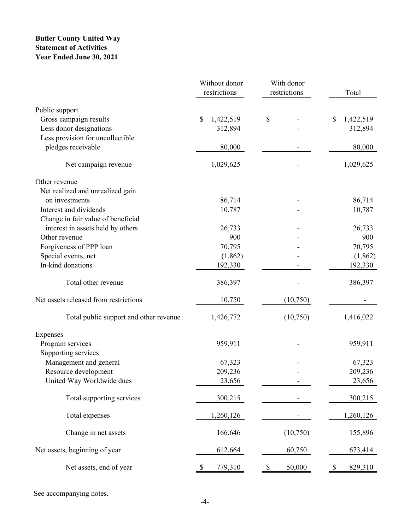# **Butler County United Way Statement of Activities Year Ended June 30, 2021**

|                                        | Without donor<br>restrictions | With donor<br>restrictions | Total           |
|----------------------------------------|-------------------------------|----------------------------|-----------------|
| Public support                         |                               |                            |                 |
| Gross campaign results                 | \$<br>1,422,519               | \$                         | 1,422,519<br>\$ |
| Less donor designations                | 312,894                       |                            | 312,894         |
| Less provision for uncollectible       |                               |                            |                 |
| pledges receivable                     | 80,000                        |                            | 80,000          |
| Net campaign revenue                   | 1,029,625                     |                            | 1,029,625       |
| Other revenue                          |                               |                            |                 |
| Net realized and unrealized gain       |                               |                            |                 |
| on investments                         | 86,714                        |                            | 86,714          |
| Interest and dividends                 | 10,787                        |                            | 10,787          |
| Change in fair value of beneficial     |                               |                            |                 |
| interest in assets held by others      | 26,733                        |                            | 26,733          |
| Other revenue                          | 900                           |                            | 900             |
| Forgiveness of PPP loan                | 70,795                        |                            | 70,795          |
| Special events, net                    | (1,862)                       |                            | (1,862)         |
| In-kind donations                      | 192,330                       |                            | 192,330         |
| Total other revenue                    | 386,397                       |                            | 386,397         |
| Net assets released from restrictions  | 10,750                        | (10,750)                   |                 |
| Total public support and other revenue | 1,426,772                     | (10,750)                   | 1,416,022       |
| Expenses                               |                               |                            |                 |
| Program services                       | 959,911                       |                            | 959,911         |
| Supporting services                    |                               |                            |                 |
| Management and general                 | 67,323                        |                            | 67,323          |
| Resource development                   | 209,236                       |                            | 209,236         |
| United Way Worldwide dues              | 23,656                        |                            | 23,656          |
| Total supporting services              | 300,215                       |                            | 300,215         |
| Total expenses                         | 1,260,126                     |                            | 1,260,126       |
| Change in net assets                   | 166,646                       | (10,750)                   | 155,896         |
| Net assets, beginning of year          | 612,664                       | 60,750                     | 673,414         |
| Net assets, end of year                | 779,310                       | 50,000                     | 829,310         |

See accompanying notes.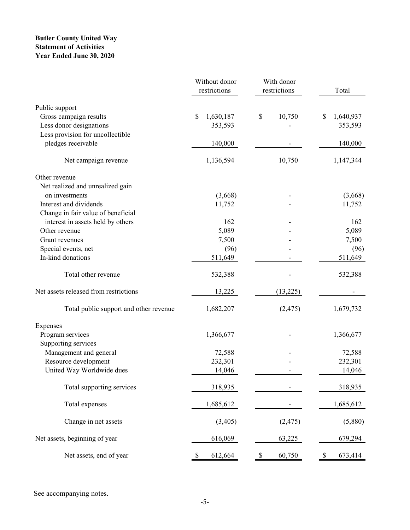# **Butler County United Way Statement of Activities Year Ended June 30, 2020**

|                                        | Without donor<br>restrictions | With donor<br>restrictions | Total           |
|----------------------------------------|-------------------------------|----------------------------|-----------------|
| Public support                         |                               |                            |                 |
| Gross campaign results                 | \$<br>1,630,187               | 10,750<br>\$               | \$<br>1,640,937 |
| Less donor designations                | 353,593                       |                            | 353,593         |
| Less provision for uncollectible       |                               |                            |                 |
| pledges receivable                     | 140,000                       |                            | 140,000         |
| Net campaign revenue                   | 1,136,594                     | 10,750                     | 1,147,344       |
| Other revenue                          |                               |                            |                 |
| Net realized and unrealized gain       |                               |                            |                 |
| on investments                         | (3,668)                       |                            | (3,668)         |
| Interest and dividends                 | 11,752                        |                            | 11,752          |
| Change in fair value of beneficial     |                               |                            |                 |
| interest in assets held by others      | 162                           |                            | 162             |
| Other revenue                          | 5,089                         |                            | 5,089           |
| Grant revenues                         | 7,500                         |                            | 7,500           |
| Special events, net                    | (96)                          |                            | (96)            |
| In-kind donations                      | 511,649                       |                            | 511,649         |
| Total other revenue                    | 532,388                       |                            | 532,388         |
| Net assets released from restrictions  | 13,225                        | (13,225)                   |                 |
| Total public support and other revenue | 1,682,207                     | (2, 475)                   | 1,679,732       |
| Expenses                               |                               |                            |                 |
| Program services                       | 1,366,677                     |                            | 1,366,677       |
| Supporting services                    |                               |                            |                 |
| Management and general                 | 72,588                        |                            | 72,588          |
| Resource development                   | 232,301                       |                            | 232,301         |
| United Way Worldwide dues              | 14,046                        |                            | 14,046          |
| Total supporting services              | 318,935                       |                            | 318,935         |
| Total expenses                         | 1,685,612                     |                            | 1,685,612       |
| Change in net assets                   | (3,405)                       | (2, 475)                   | (5,880)         |
| Net assets, beginning of year          | 616,069                       | 63,225                     | 679,294         |
| Net assets, end of year                | 612,664<br><sup>8</sup>       | 60,750<br>\$               | 673,414<br>\$   |

See accompanying notes.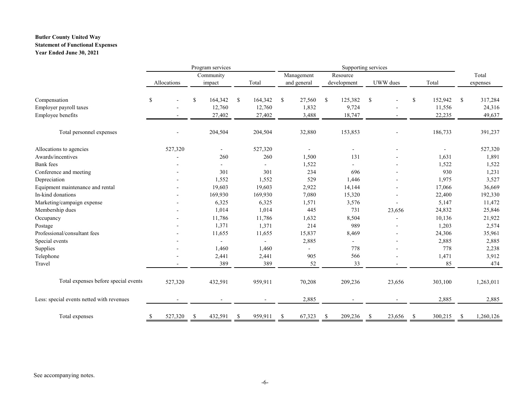#### **Butler County United Way Statement of Functional Expenses Year Ended June 30, 2021**

|                                           |               |                          |               | Program services       |               |                | Supporting services |                |               |                          |               |                          |               |         |               |           |
|-------------------------------------------|---------------|--------------------------|---------------|------------------------|---------------|----------------|---------------------|----------------|---------------|--------------------------|---------------|--------------------------|---------------|---------|---------------|-----------|
|                                           |               | Community                |               | Management<br>Resource |               |                |                     |                |               |                          | Total         |                          |               |         |               |           |
|                                           |               | Allocations              |               | impact                 |               | Total          |                     | and general    |               | development              |               | UWW dues                 |               | Total   |               | expenses  |
| Compensation                              | <sup>\$</sup> |                          | <sup>\$</sup> | 164,342                | \$            | 164,342        | <sup>\$</sup>       | 27,560         | <sup>\$</sup> | 125,382                  | <sup>\$</sup> |                          | \$            | 152,942 | <sup>\$</sup> | 317,284   |
| Employer payroll taxes                    |               |                          |               | 12,760                 |               | 12,760         |                     | 1,832          |               | 9,724                    |               |                          |               | 11,556  |               | 24,316    |
| Employee benefits                         |               |                          |               | 27,402                 |               | 27,402         |                     | 3,488          |               | 18,747                   |               |                          |               | 22,235  |               | 49,637    |
|                                           |               |                          |               |                        |               |                |                     |                |               |                          |               |                          |               |         |               |           |
| Total personnel expenses                  |               |                          |               | 204,504                |               | 204,504        |                     | 32,880         |               | 153,853                  |               |                          |               | 186,733 |               | 391,237   |
| Allocations to agencies                   |               | 527,320                  |               | $\sim$                 |               | 527,320        |                     | $\blacksquare$ |               | $\overline{\phantom{0}}$ |               |                          |               |         |               | 527,320   |
| Awards/incentives                         |               |                          |               | 260                    |               | 260            |                     | 1,500          |               | 131                      |               |                          |               | 1,631   |               | 1,891     |
| <b>Bank</b> fees                          |               |                          |               | $\blacksquare$         |               | $\blacksquare$ |                     | 1,522          |               | $\overline{\phantom{0}}$ |               |                          |               | 1,522   |               | 1,522     |
| Conference and meeting                    |               |                          |               | 301                    |               | 301            |                     | 234            |               | 696                      |               |                          |               | 930     |               | 1,231     |
| Depreciation                              |               |                          |               | 1,552                  |               | 1,552          |                     | 529            |               | 1,446                    |               |                          |               | 1,975   |               | 3,527     |
| Equipment maintenance and rental          |               |                          |               | 19,603                 |               | 19,603         |                     | 2,922          |               | 14,144                   |               |                          |               | 17,066  |               | 36,669    |
| In-kind donations                         |               |                          |               | 169,930                |               | 169,930        |                     | 7,080          |               | 15,320                   |               |                          |               | 22,400  |               | 192,330   |
| Marketing/campaign expense                |               |                          |               | 6,325                  |               | 6,325          |                     | 1,571          |               | 3,576                    |               |                          |               | 5,147   |               | 11,472    |
| Membership dues                           |               |                          |               | 1,014                  |               | 1,014          |                     | 445            |               | 731                      |               | 23,656                   |               | 24,832  |               | 25,846    |
| Occupancy                                 |               |                          |               | 11,786                 |               | 11,786         |                     | 1,632          |               | 8,504                    |               |                          |               | 10,136  |               | 21,922    |
| Postage                                   |               |                          |               | 1,371                  |               | 1,371          |                     | 214            |               | 989                      |               |                          |               | 1,203   |               | 2,574     |
| Professional/consultant fees              |               |                          |               | 11,655                 |               | 11,655         |                     | 15,837         |               | 8,469                    |               |                          |               | 24,306  |               | 35,961    |
| Special events                            |               |                          |               | $\sim$                 |               | $\sim$         |                     | 2,885          |               | $\sim$                   |               |                          |               | 2,885   |               | 2,885     |
| Supplies                                  |               |                          |               | 1,460                  |               | 1,460          |                     | ÷              |               | 778                      |               |                          |               | 778     |               | 2,238     |
| Telephone                                 |               |                          |               | 2,441                  |               | 2,441          |                     | 905            |               | 566                      |               |                          |               | 1,471   |               | 3,912     |
| Travel                                    |               | $\overline{\phantom{a}}$ |               | 389                    |               | 389            |                     | 52             |               | 33                       |               | $\overline{\phantom{a}}$ |               | 85      |               | 474       |
| Total expenses before special events      |               | 527,320                  |               | 432,591                |               | 959,911        |                     | 70,208         |               | 209,236                  |               | 23,656                   |               | 303,100 |               | 1,263,011 |
| Less: special events netted with revenues |               |                          |               |                        |               |                |                     | 2,885          |               |                          |               |                          |               | 2,885   |               | 2,885     |
| Total expenses                            | \$            | 527,320                  | <sup>\$</sup> | 432,591                | <sup>\$</sup> | 959,911        | <sup>\$</sup>       | 67,323         | -S            | 209,236                  | <sup>\$</sup> | 23,656                   | <sup>\$</sup> | 300,215 | -S            | 1,260,126 |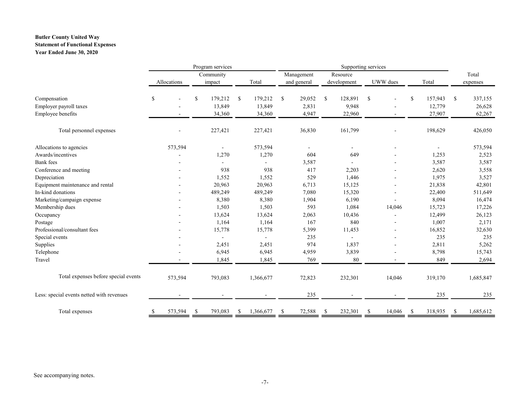#### **Butler County United Way Statement of Functional Expenses Year Ended June 30, 2020**

|                                           |               | Program services         |                |                        |           |    | Supporting services |    |                          |               |                |    |         |    |           |
|-------------------------------------------|---------------|--------------------------|----------------|------------------------|-----------|----|---------------------|----|--------------------------|---------------|----------------|----|---------|----|-----------|
|                                           | Community     |                          |                | Resource<br>Management |           |    |                     |    |                          |               | Total          |    |         |    |           |
|                                           | Allocations   | impact                   |                |                        | Total     |    | and general         |    | development              |               | UWW dues       |    | Total   |    | expenses  |
| Compensation                              | \$            | <sup>\$</sup><br>179,212 |                | $\mathcal{S}$          | 179,212   | \$ | 29,052              | \$ | 128,891                  | <sup>\$</sup> |                | \$ | 157,943 | \$ | 337,155   |
| Employer payroll taxes                    |               |                          | 13,849         |                        | 13,849    |    | 2,831               |    | 9,948                    |               |                |    | 12,779  |    | 26,628    |
| Employee benefits                         |               |                          | 34,360         |                        | 34,360    |    | 4,947               |    | 22,960                   |               |                |    | 27,907  |    | 62,267    |
|                                           |               |                          |                |                        |           |    |                     |    |                          |               |                |    |         |    |           |
| Total personnel expenses                  |               | 227,421                  |                |                        | 227,421   |    | 36,830              |    | 161,799                  |               |                |    | 198,629 |    | 426,050   |
| Allocations to agencies                   | 573,594       |                          | $\blacksquare$ |                        | 573,594   |    | $\blacksquare$      |    | $\overline{\phantom{a}}$ |               |                |    |         |    | 573,594   |
| Awards/incentives                         |               |                          | 1,270          |                        | 1,270     |    | 604                 |    | 649                      |               |                |    | 1,253   |    | 2,523     |
| <b>Bank</b> fees                          |               |                          |                |                        |           |    | 3,587               |    |                          |               |                |    | 3,587   |    | 3,587     |
| Conference and meeting                    |               |                          | 938            |                        | 938       |    | 417                 |    | 2,203                    |               |                |    | 2,620   |    | 3,558     |
| Depreciation                              |               |                          | 1,552          |                        | 1,552     |    | 529                 |    | 1,446                    |               |                |    | 1,975   |    | 3,527     |
| Equipment maintenance and rental          |               |                          | 20,963         |                        | 20,963    |    | 6,713               |    | 15,125                   |               | $\blacksquare$ |    | 21,838  |    | 42,801    |
| In-kind donations                         |               | 489,249                  |                |                        | 489,249   |    | 7,080               |    | 15,320                   |               |                |    | 22,400  |    | 511,649   |
| Marketing/campaign expense                |               |                          | 8,380          |                        | 8,380     |    | 1,904               |    | 6,190                    |               |                |    | 8,094   |    | 16,474    |
| Membership dues                           |               |                          | 1,503          |                        | 1,503     |    | 593                 |    | 1,084                    |               | 14,046         |    | 15,723  |    | 17,226    |
| Occupancy                                 |               |                          | 13,624         |                        | 13,624    |    | 2,063               |    | 10,436                   |               |                |    | 12,499  |    | 26,123    |
| Postage                                   |               |                          | 1,164          |                        | 1,164     |    | 167                 |    | 840                      |               |                |    | 1,007   |    | 2,171     |
| Professional/consultant fees              |               |                          | 15,778         |                        | 15,778    |    | 5,399               |    | 11,453                   |               |                |    | 16,852  |    | 32,630    |
| Special events                            |               |                          | $\sim$         |                        |           |    | 235                 |    |                          |               |                |    | 235     |    | 235       |
| Supplies                                  |               |                          | 2,451          |                        | 2,451     |    | 974                 |    | 1,837                    |               |                |    | 2,811   |    | 5,262     |
| Telephone                                 |               |                          | 6,945          |                        | 6,945     |    | 4,959               |    | 3,839                    |               |                |    | 8,798   |    | 15,743    |
| Travel                                    |               |                          | 1,845          |                        | 1,845     |    | 769                 |    | 80                       |               |                |    | 849     |    | 2,694     |
| Total expenses before special events      | 573,594       | 793,083                  |                |                        | 1,366,677 |    | 72,823              |    | 232,301                  |               | 14,046         |    | 319,170 |    | 1,685,847 |
| Less: special events netted with revenues |               |                          |                |                        |           |    | 235                 |    |                          |               |                |    | 235     |    | 235       |
| Total expenses                            | 573,594<br>S. | 793,083<br>S             |                | -S                     | 1,366,677 | S  | 72,588              | S  | 232,301                  | S             | 14,046         | -S | 318,935 | S  | 1,685,612 |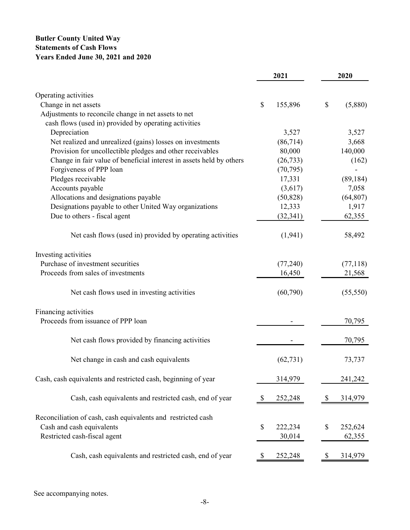# **Butler County United Way Statements of Cash Flows Years Ended June 30, 2021 and 2020**

|                                                                      | 2021          |    | 2020      |
|----------------------------------------------------------------------|---------------|----|-----------|
| Operating activities                                                 |               |    |           |
| Change in net assets                                                 | \$<br>155,896 | \$ | (5,880)   |
| Adjustments to reconcile change in net assets to net                 |               |    |           |
| cash flows (used in) provided by operating activities                |               |    |           |
| Depreciation                                                         | 3,527         |    | 3,527     |
| Net realized and unrealized (gains) losses on investments            | (86,714)      |    | 3,668     |
| Provision for uncollectible pledges and other receivables            | 80,000        |    | 140,000   |
| Change in fair value of beneficial interest in assets held by others | (26, 733)     |    | (162)     |
| Forgiveness of PPP loan                                              | (70, 795)     |    |           |
| Pledges receivable                                                   | 17,331        |    | (89, 184) |
| Accounts payable                                                     | (3,617)       |    | 7,058     |
| Allocations and designations payable                                 | (50, 828)     |    | (64, 807) |
| Designations payable to other United Way organizations               | 12,333        |    | 1,917     |
| Due to others - fiscal agent                                         | (32, 341)     |    | 62,355    |
| Net cash flows (used in) provided by operating activities            | (1,941)       |    | 58,492    |
| Investing activities                                                 |               |    |           |
| Purchase of investment securities                                    | (77,240)      |    | (77, 118) |
| Proceeds from sales of investments                                   | 16,450        |    | 21,568    |
| Net cash flows used in investing activities                          | (60,790)      |    | (55,550)  |
| Financing activities                                                 |               |    |           |
| Proceeds from issuance of PPP loan                                   |               |    | 70,795    |
| Net cash flows provided by financing activities                      |               |    | 70,795    |
| Net change in cash and cash equivalents                              | (62, 731)     |    | 73,737    |
| Cash, cash equivalents and restricted cash, beginning of year        | 314,979       |    | 241,242   |
| Cash, cash equivalents and restricted cash, end of year              | \$<br>252,248 | -S | 314,979   |
| Reconciliation of cash, cash equivalents and restricted cash         |               |    |           |
| Cash and cash equivalents                                            | \$<br>222,234 | \$ | 252,624   |
| Restricted cash-fiscal agent                                         | 30,014        |    | 62,355    |
| Cash, cash equivalents and restricted cash, end of year              | \$<br>252,248 | \$ | 314,979   |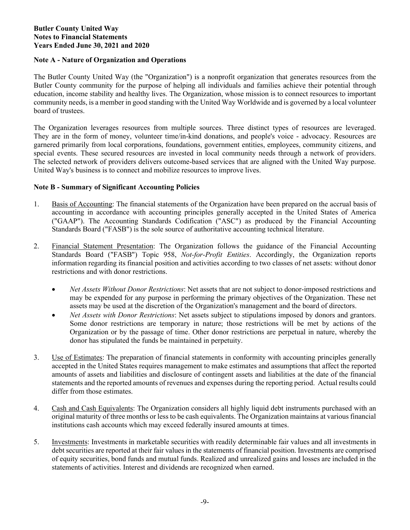## **Note A - Nature of Organization and Operations**

The Butler County United Way (the "Organization") is a nonprofit organization that generates resources from the Butler County community for the purpose of helping all individuals and families achieve their potential through education, income stability and healthy lives. The Organization, whose mission is to connect resources to important community needs, is a member in good standing with the United Way Worldwide and is governed by a local volunteer board of trustees.

The Organization leverages resources from multiple sources. Three distinct types of resources are leveraged. They are in the form of money, volunteer time/in-kind donations, and people's voice - advocacy. Resources are garnered primarily from local corporations, foundations, government entities, employees, community citizens, and special events. These secured resources are invested in local community needs through a network of providers. The selected network of providers delivers outcome-based services that are aligned with the United Way purpose. United Way's business is to connect and mobilize resources to improve lives.

# **Note B - Summary of Significant Accounting Policies**

- 1. Basis of Accounting: The financial statements of the Organization have been prepared on the accrual basis of accounting in accordance with accounting principles generally accepted in the United States of America ("GAAP"). The Accounting Standards Codification ("ASC") as produced by the Financial Accounting Standards Board ("FASB") is the sole source of authoritative accounting technical literature.
- 2. Financial Statement Presentation: The Organization follows the guidance of the Financial Accounting Standards Board ("FASB") Topic 958, *Not-for-Profit Entities*. Accordingly, the Organization reports information regarding its financial position and activities according to two classes of net assets: without donor restrictions and with donor restrictions.
	- *Net Assets Without Donor Restrictions*: Net assets that are not subject to donor-imposed restrictions and may be expended for any purpose in performing the primary objectives of the Organization. These net assets may be used at the discretion of the Organization's management and the board of directors.
	- *Net Assets with Donor Restrictions*: Net assets subject to stipulations imposed by donors and grantors. Some donor restrictions are temporary in nature; those restrictions will be met by actions of the Organization or by the passage of time. Other donor restrictions are perpetual in nature, whereby the donor has stipulated the funds be maintained in perpetuity.
- 3. Use of Estimates: The preparation of financial statements in conformity with accounting principles generally accepted in the United States requires management to make estimates and assumptions that affect the reported amounts of assets and liabilities and disclosure of contingent assets and liabilities at the date of the financial statements and the reported amounts of revenues and expenses during the reporting period. Actual results could differ from those estimates.
- 4. Cash and Cash Equivalents: The Organization considers all highly liquid debt instruments purchased with an original maturity of three months or less to be cash equivalents. The Organization maintains at various financial institutions cash accounts which may exceed federally insured amounts at times.
- 5. Investments: Investments in marketable securities with readily determinable fair values and all investments in debt securities are reported at their fair values in the statements of financial position. Investments are comprised of equity securities, bond funds and mutual funds. Realized and unrealized gains and losses are included in the statements of activities. Interest and dividends are recognized when earned.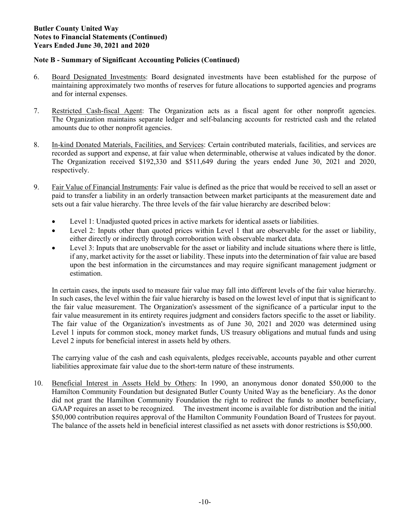# **Note B - Summary of Significant Accounting Policies (Continued)**

- 6. Board Designated Investments: Board designated investments have been established for the purpose of maintaining approximately two months of reserves for future allocations to supported agencies and programs and for internal expenses.
- 7. Restricted Cash-fiscal Agent: The Organization acts as a fiscal agent for other nonprofit agencies. The Organization maintains separate ledger and self-balancing accounts for restricted cash and the related amounts due to other nonprofit agencies.
- 8. In-kind Donated Materials, Facilities, and Services: Certain contributed materials, facilities, and services are recorded as support and expense, at fair value when determinable, otherwise at values indicated by the donor. The Organization received \$192,330 and \$511,649 during the years ended June 30, 2021 and 2020, respectively.
- 9. Fair Value of Financial Instruments: Fair value is defined as the price that would be received to sell an asset or paid to transfer a liability in an orderly transaction between market participants at the measurement date and sets out a fair value hierarchy. The three levels of the fair value hierarchy are described below:
	- Level 1: Unadjusted quoted prices in active markets for identical assets or liabilities.
	- Level 2: Inputs other than quoted prices within Level 1 that are observable for the asset or liability, either directly or indirectly through corroboration with observable market data.
	- Level 3: Inputs that are unobservable for the asset or liability and include situations where there is little, if any, market activity for the asset or liability. These inputs into the determination of fair value are based upon the best information in the circumstances and may require significant management judgment or estimation.

In certain cases, the inputs used to measure fair value may fall into different levels of the fair value hierarchy. In such cases, the level within the fair value hierarchy is based on the lowest level of input that is significant to the fair value measurement. The Organization's assessment of the significance of a particular input to the fair value measurement in its entirety requires judgment and considers factors specific to the asset or liability. The fair value of the Organization's investments as of June 30, 2021 and 2020 was determined using Level 1 inputs for common stock, money market funds, US treasury obligations and mutual funds and using Level 2 inputs for beneficial interest in assets held by others.

The carrying value of the cash and cash equivalents, pledges receivable, accounts payable and other current liabilities approximate fair value due to the short-term nature of these instruments.

10. Beneficial Interest in Assets Held by Others: In 1990, an anonymous donor donated \$50,000 to the Hamilton Community Foundation but designated Butler County United Way as the beneficiary. As the donor did not grant the Hamilton Community Foundation the right to redirect the funds to another beneficiary, GAAP requires an asset to be recognized. The investment income is available for distribution and the initial \$50,000 contribution requires approval of the Hamilton Community Foundation Board of Trustees for payout. The balance of the assets held in beneficial interest classified as net assets with donor restrictions is \$50,000.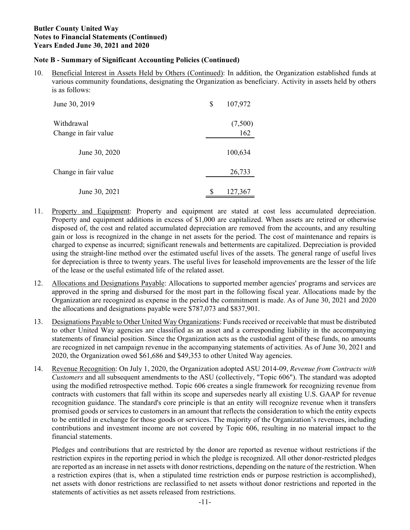## **Note B - Summary of Significant Accounting Policies (Continued)**

10. Beneficial Interest in Assets Held by Others (Continued): In addition, the Organization established funds at various community foundations, designating the Organization as beneficiary. Activity in assets held by others is as follows:

| June 30, 2019                      | \$<br>107,972  |
|------------------------------------|----------------|
| Withdrawal<br>Change in fair value | (7,500)<br>162 |
| June 30, 2020                      | 100,634        |
| Change in fair value               | 26,733         |
| June 30, 2021                      | 127,367        |

- 11. Property and Equipment: Property and equipment are stated at cost less accumulated depreciation. Property and equipment additions in excess of \$1,000 are capitalized. When assets are retired or otherwise disposed of, the cost and related accumulated depreciation are removed from the accounts, and any resulting gain or loss is recognized in the change in net assets for the period. The cost of maintenance and repairs is charged to expense as incurred; significant renewals and betterments are capitalized. Depreciation is provided using the straight-line method over the estimated useful lives of the assets. The general range of useful lives for depreciation is three to twenty years. The useful lives for leasehold improvements are the lesser of the life of the lease or the useful estimated life of the related asset.
- 12. Allocations and Designations Payable: Allocations to supported member agencies' programs and services are approved in the spring and disbursed for the most part in the following fiscal year. Allocations made by the Organization are recognized as expense in the period the commitment is made. As of June 30, 2021 and 2020 the allocations and designations payable were \$787,073 and \$837,901.
- 13. Designations Payable to Other United Way Organizations: Funds received or receivable that must be distributed to other United Way agencies are classified as an asset and a corresponding liability in the accompanying statements of financial position. Since the Organization acts as the custodial agent of these funds, no amounts are recognized in net campaign revenue in the accompanying statements of activities. As of June 30, 2021 and 2020, the Organization owed \$61,686 and \$49,353 to other United Way agencies.
- 14. Revenue Recognition: On July 1, 2020, the Organization adopted ASU 2014-09, *Revenue from Contracts with Customers* and all subsequent amendments to the ASU (collectively, "Topic 606"). The standard was adopted using the modified retrospective method. Topic 606 creates a single framework for recognizing revenue from contracts with customers that fall within its scope and supersedes nearly all existing U.S. GAAP for revenue recognition guidance. The standard's core principle is that an entity will recognize revenue when it transfers promised goods or services to customers in an amount that reflects the consideration to which the entity expects to be entitled in exchange for those goods or services. The majority of the Organization's revenues, including contributions and investment income are not covered by Topic 606, resulting in no material impact to the financial statements.

Pledges and contributions that are restricted by the donor are reported as revenue without restrictions if the restriction expires in the reporting period in which the pledge is recognized. All other donor-restricted pledges are reported as an increase in net assets with donor restrictions, depending on the nature of the restriction. When a restriction expires (that is, when a stipulated time restriction ends or purpose restriction is accomplished), net assets with donor restrictions are reclassified to net assets without donor restrictions and reported in the statements of activities as net assets released from restrictions.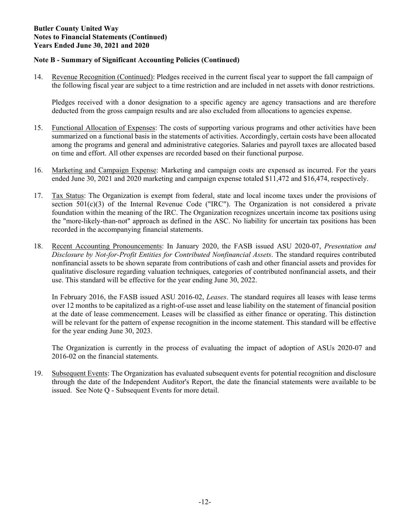## **Note B - Summary of Significant Accounting Policies (Continued)**

14. Revenue Recognition (Continued): Pledges received in the current fiscal year to support the fall campaign of the following fiscal year are subject to a time restriction and are included in net assets with donor restrictions.

Pledges received with a donor designation to a specific agency are agency transactions and are therefore deducted from the gross campaign results and are also excluded from allocations to agencies expense.

- 15. Functional Allocation of Expenses: The costs of supporting various programs and other activities have been summarized on a functional basis in the statements of activities. Accordingly, certain costs have been allocated among the programs and general and administrative categories. Salaries and payroll taxes are allocated based on time and effort. All other expenses are recorded based on their functional purpose.
- 16. Marketing and Campaign Expense: Marketing and campaign costs are expensed as incurred. For the years ended June 30, 2021 and 2020 marketing and campaign expense totaled \$11,472 and \$16,474, respectively.
- 17. Tax Status: The Organization is exempt from federal, state and local income taxes under the provisions of section 501(c)(3) of the Internal Revenue Code ("IRC"). The Organization is not considered a private foundation within the meaning of the IRC. The Organization recognizes uncertain income tax positions using the "more-likely-than-not" approach as defined in the ASC. No liability for uncertain tax positions has been recorded in the accompanying financial statements.
- 18. Recent Accounting Pronouncements: In January 2020, the FASB issued ASU 2020-07, *Presentation and Disclosure by Not-for-Profit Entities for Contributed Nonfinancial Assets*. The standard requires contributed nonfinancial assets to be shown separate from contributions of cash and other financial assets and provides for qualitative disclosure regarding valuation techniques, categories of contributed nonfinancial assets, and their use. This standard will be effective for the year ending June 30, 2022.

In February 2016, the FASB issued ASU 2016-02, *Leases*. The standard requires all leases with lease terms over 12 months to be capitalized as a right-of-use asset and lease liability on the statement of financial position at the date of lease commencement. Leases will be classified as either finance or operating. This distinction will be relevant for the pattern of expense recognition in the income statement. This standard will be effective for the year ending June 30, 2023.

The Organization is currently in the process of evaluating the impact of adoption of ASUs 2020-07 and 2016-02 on the financial statements.

19. Subsequent Events: The Organization has evaluated subsequent events for potential recognition and disclosure through the date of the Independent Auditor's Report, the date the financial statements were available to be issued. See Note Q - Subsequent Events for more detail.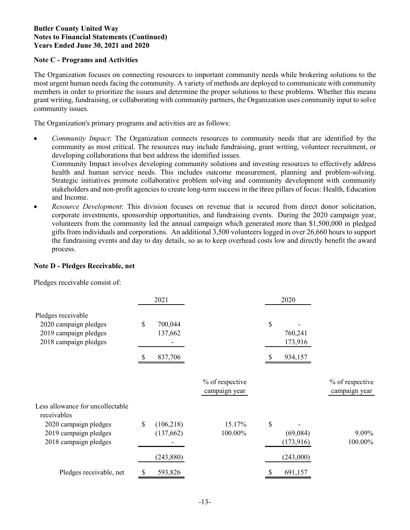#### **Note C - Programs and Activities**

The Organization focuses on connecting resources to important community needs while brokering solutions to the most urgent human needs facing the community. A variety of methods are deployed to communicate with community members in order to prioritize the issues and determine the proper solutions to these problems. Whether this means grant writing, fundraising, or collaborating with community partners, the Organization uses community input to solve community issues.

The Organization's primary programs and activities are as follows:

• *Community Impact*: The Organization connects resources to community needs that are identified by the community as most critical. The resources may include fundraising, grant writing, volunteer recruitment, or developing collaborations that best address the identified issues.

Community Impact involves developing community solutions and investing resources to effectively address health and human service needs. This includes outcome measurement, planning and problem-solving. Strategic initiatives promote collaborative problem solving and community development with community stakeholders and non-profit agencies to create long-term success in the three pillars of focus: Health, Education and Income.

• *Resource Development*: This division focuses on revenue that is secured from direct donor solicitation, corporate investments, sponsorship opportunities, and fundraising events. During the 2020 campaign year, volunteers from the community led the annual campaign which generated more than \$1,500,000 in pledged gifts from individuals and corporations. An additional 3,500 volunteers logged in over 26,660 hours to support the fundraising events and day to day details, so as to keep overhead costs low and directly benefit the award process.

## **Note D - Pledges Receivable, net**

Pledges receivable consist of:

|                                                                                               |              | 2021                    |                                  | 2020                         |                                  |
|-----------------------------------------------------------------------------------------------|--------------|-------------------------|----------------------------------|------------------------------|----------------------------------|
| Pledges receivable<br>2020 campaign pledges<br>2019 campaign pledges<br>2018 campaign pledges | \$           | 700,044<br>137,662      |                                  | \$<br>760,241<br>173,916     |                                  |
|                                                                                               |              | 837,706                 |                                  | 934,157                      |                                  |
|                                                                                               |              |                         | % of respective<br>campaign year |                              | % of respective<br>campaign year |
| Less allowance for uncollectable<br>receivables                                               |              |                         |                                  |                              |                                  |
| 2020 campaign pledges<br>2019 campaign pledges<br>2018 campaign pledges                       | $\mathbb{S}$ | (106, 218)<br>(137,662) | 15.17%<br>100.00%                | \$<br>(69,084)<br>(173, 916) | 9.09%<br>100.00%                 |
|                                                                                               |              | (243, 880)              |                                  | (243,000)                    |                                  |
| Pledges receivable, net                                                                       | \$           | 593,826                 |                                  | \$<br>691,157                |                                  |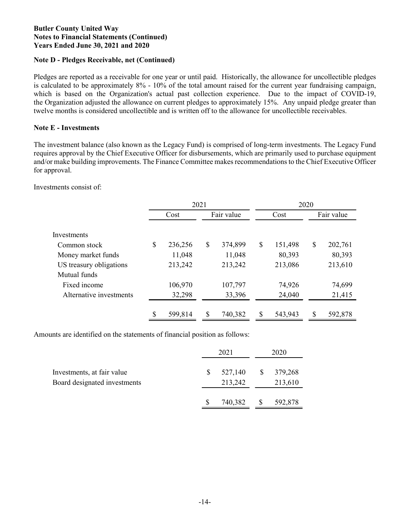## **Note D - Pledges Receivable, net (Continued)**

Pledges are reported as a receivable for one year or until paid. Historically, the allowance for uncollectible pledges is calculated to be approximately 8% - 10% of the total amount raised for the current year fundraising campaign, which is based on the Organization's actual past collection experience. Due to the impact of COVID-19, the Organization adjusted the allowance on current pledges to approximately 15%. Any unpaid pledge greater than twelve months is considered uncollectible and is written off to the allowance for uncollectible receivables.

## **Note E - Investments**

The investment balance (also known as the Legacy Fund) is comprised of long-term investments. The Legacy Fund requires approval by the Chief Executive Officer for disbursements, which are primarily used to purchase equipment and/or make building improvements. The Finance Committee makes recommendations to the Chief Executive Officer for approval.

Investments consist of:

|                         | 2021 |         |            |         |      |         | 2020 |            |  |  |
|-------------------------|------|---------|------------|---------|------|---------|------|------------|--|--|
|                         |      | Cost    | Fair value |         | Cost |         |      | Fair value |  |  |
|                         |      |         |            |         |      |         |      |            |  |  |
| Investments             |      |         |            |         |      |         |      |            |  |  |
| Common stock            | \$   | 236,256 | \$         | 374,899 | \$   | 151,498 | \$   | 202,761    |  |  |
| Money market funds      |      | 11,048  |            | 11,048  |      | 80,393  |      | 80,393     |  |  |
| US treasury obligations |      | 213,242 |            | 213,242 |      | 213,086 |      | 213,610    |  |  |
| Mutual funds            |      |         |            |         |      |         |      |            |  |  |
| Fixed income            |      | 106,970 |            | 107,797 |      | 74,926  |      | 74,699     |  |  |
| Alternative investments |      | 32,298  |            | 33,396  |      | 24,040  |      | 21,415     |  |  |
|                         |      |         |            |         |      |         |      |            |  |  |
|                         | \$   | 599,814 | \$         | 740,382 | S    | 543,943 | \$   | 592,878    |  |  |

Amounts are identified on the statements of financial position as follows:

|                                                            |   | 2021               |              | 2020               |
|------------------------------------------------------------|---|--------------------|--------------|--------------------|
| Investments, at fair value<br>Board designated investments | S | 527,140<br>213,242 | $\mathbb{S}$ | 379,268<br>213,610 |
|                                                            |   | 740,382            |              | 592,878            |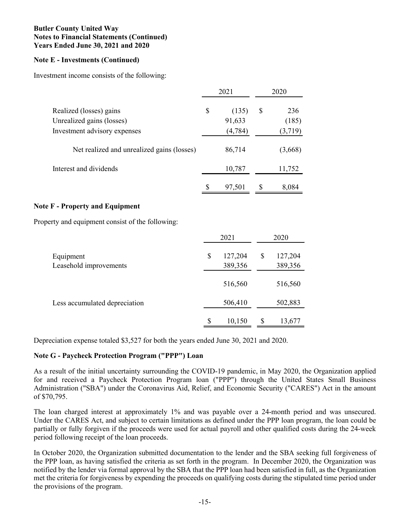## **Note E - Investments (Continued)**

Investment income consists of the following:

|                                            |    | 2021     | 2020 |         |  |  |
|--------------------------------------------|----|----------|------|---------|--|--|
| Realized (losses) gains                    | \$ | (135)    | \$   | 236     |  |  |
| Unrealized gains (losses)                  |    | 91,633   |      | (185)   |  |  |
| Investment advisory expenses               |    | (4, 784) |      | (3,719) |  |  |
| Net realized and unrealized gains (losses) |    | 86,714   |      | (3,668) |  |  |
| Interest and dividends                     |    | 10,787   |      | 11,752  |  |  |
|                                            | S  | 97,501   | S    | 8,084   |  |  |

# **Note F - Property and Equipment**

Property and equipment consist of the following:

|                               |    | 2020    |               |  |
|-------------------------------|----|---------|---------------|--|
| Equipment                     | \$ | 127,204 | \$<br>127,204 |  |
| Leasehold improvements        |    | 389,356 | 389,356       |  |
|                               |    | 516,560 | 516,560       |  |
| Less accumulated depreciation |    | 506,410 | 502,883       |  |
|                               | \$ | 10,150  | \$<br>13,677  |  |

Depreciation expense totaled \$3,527 for both the years ended June 30, 2021 and 2020.

# **Note G - Paycheck Protection Program ("PPP") Loan**

As a result of the initial uncertainty surrounding the COVID-19 pandemic, in May 2020, the Organization applied for and received a Paycheck Protection Program loan ("PPP") through the United States Small Business Administration ("SBA") under the Coronavirus Aid, Relief, and Economic Security ("CARES") Act in the amount of \$70,795.

The loan charged interest at approximately 1% and was payable over a 24-month period and was unsecured. Under the CARES Act, and subject to certain limitations as defined under the PPP loan program, the loan could be partially or fully forgiven if the proceeds were used for actual payroll and other qualified costs during the 24-week period following receipt of the loan proceeds.

In October 2020, the Organization submitted documentation to the lender and the SBA seeking full forgiveness of the PPP loan, as having satisfied the criteria as set forth in the program. In December 2020, the Organization was notified by the lender via formal approval by the SBA that the PPP loan had been satisfied in full, as the Organization met the criteria for forgiveness by expending the proceeds on qualifying costs during the stipulated time period under the provisions of the program.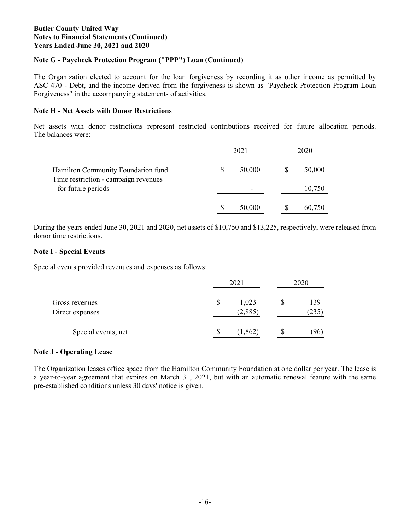# **Note G - Paycheck Protection Program ("PPP") Loan (Continued)**

The Organization elected to account for the loan forgiveness by recording it as other income as permitted by ASC 470 - Debt, and the income derived from the forgiveness is shown as "Paycheck Protection Program Loan Forgiveness" in the accompanying statements of activities.

## **Note H - Net Assets with Donor Restrictions**

Net assets with donor restrictions represent restricted contributions received for future allocation periods. The balances were:

|                                                                            |   | 2021   | 2020 |        |  |
|----------------------------------------------------------------------------|---|--------|------|--------|--|
| Hamilton Community Foundation fund<br>Time restriction - campaign revenues | S | 50,000 | S    | 50,000 |  |
| for future periods                                                         |   |        |      | 10,750 |  |
|                                                                            | S | 50,000 |      | 60,750 |  |

During the years ended June 30, 2021 and 2020, net assets of \$10,750 and \$13,225, respectively, were released from donor time restrictions.

#### **Note I - Special Events**

Special events provided revenues and expenses as follows:

|                                   | 2021                   | 2020 |              |  |
|-----------------------------------|------------------------|------|--------------|--|
| Gross revenues<br>Direct expenses | \$<br>1,023<br>(2,885) |      | 139<br>(235) |  |
| Special events, net               | (1, 862)               |      | '96          |  |

## **Note J - Operating Lease**

The Organization leases office space from the Hamilton Community Foundation at one dollar per year. The lease is a year-to-year agreement that expires on March 31, 2021, but with an automatic renewal feature with the same pre-established conditions unless 30 days' notice is given.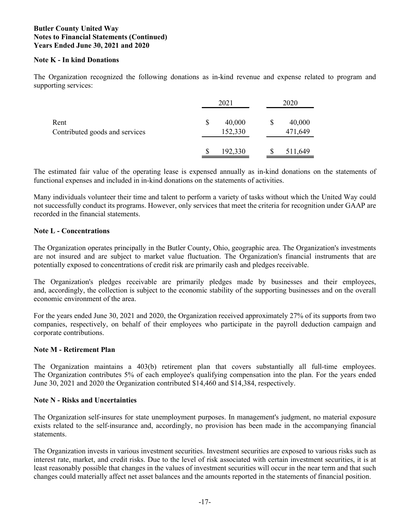#### **Note K - In kind Donations**

The Organization recognized the following donations as in-kind revenue and expense related to program and supporting services:

|                                        | 2021                    |   |                   |  |
|----------------------------------------|-------------------------|---|-------------------|--|
| Rent<br>Contributed goods and services | \$<br>40,000<br>152,330 | S | 40,000<br>471,649 |  |
|                                        | 192,330                 |   | 511,649           |  |

The estimated fair value of the operating lease is expensed annually as in-kind donations on the statements of functional expenses and included in in-kind donations on the statements of activities.

Many individuals volunteer their time and talent to perform a variety of tasks without which the United Way could not successfully conduct its programs. However, only services that meet the criteria for recognition under GAAP are recorded in the financial statements.

## **Note L - Concentrations**

The Organization operates principally in the Butler County, Ohio, geographic area. The Organization's investments are not insured and are subject to market value fluctuation. The Organization's financial instruments that are potentially exposed to concentrations of credit risk are primarily cash and pledges receivable.

The Organization's pledges receivable are primarily pledges made by businesses and their employees, and, accordingly, the collection is subject to the economic stability of the supporting businesses and on the overall economic environment of the area.

For the years ended June 30, 2021 and 2020, the Organization received approximately 27% of its supports from two companies, respectively, on behalf of their employees who participate in the payroll deduction campaign and corporate contributions.

#### **Note M - Retirement Plan**

The Organization maintains a 403(b) retirement plan that covers substantially all full-time employees. The Organization contributes 5% of each employee's qualifying compensation into the plan. For the years ended June 30, 2021 and 2020 the Organization contributed \$14,460 and \$14,384, respectively.

#### **Note N - Risks and Uncertainties**

The Organization self-insures for state unemployment purposes. In management's judgment, no material exposure exists related to the self-insurance and, accordingly, no provision has been made in the accompanying financial statements.

The Organization invests in various investment securities. Investment securities are exposed to various risks such as interest rate, market, and credit risks. Due to the level of risk associated with certain investment securities, it is at least reasonably possible that changes in the values of investment securities will occur in the near term and that such changes could materially affect net asset balances and the amounts reported in the statements of financial position.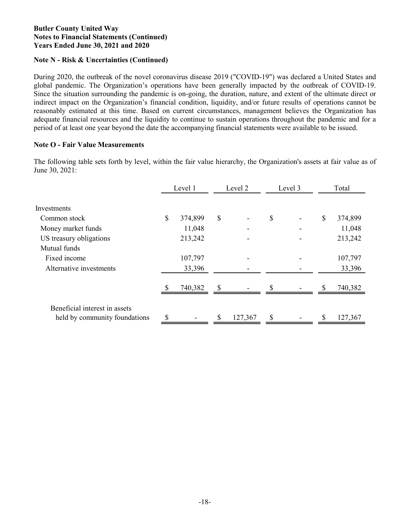# **Note N - Risk & Uncertainties (Continued)**

During 2020, the outbreak of the novel coronavirus disease 2019 ("COVID-19") was declared a United States and global pandemic. The Organization's operations have been generally impacted by the outbreak of COVID-19. Since the situation surrounding the pandemic is on-going, the duration, nature, and extent of the ultimate direct or indirect impact on the Organization's financial condition, liquidity, and/or future results of operations cannot be reasonably estimated at this time. Based on current circumstances, management believes the Organization has adequate financial resources and the liquidity to continue to sustain operations throughout the pandemic and for a period of at least one year beyond the date the accompanying financial statements were available to be issued.

# **Note O - Fair Value Measurements**

The following table sets forth by level, within the fair value hierarchy, the Organization's assets at fair value as of June 30, 2021:

|                               | Level 1       | Level 2 | Level 3 | Total         |
|-------------------------------|---------------|---------|---------|---------------|
| Investments                   |               |         |         |               |
| Common stock                  | \$<br>374,899 | \$      | \$      | \$<br>374,899 |
| Money market funds            | 11,048        |         |         | 11,048        |
| US treasury obligations       | 213,242       |         |         | 213,242       |
| Mutual funds                  |               |         |         |               |
| Fixed income                  | 107,797       |         |         | 107,797       |
| Alternative investments       | 33,396        |         |         | 33,396        |
|                               | 740,382       | \$      |         | 740,382       |
| Beneficial interest in assets |               |         |         |               |
| held by community foundations |               | 127,367 |         | 127,367       |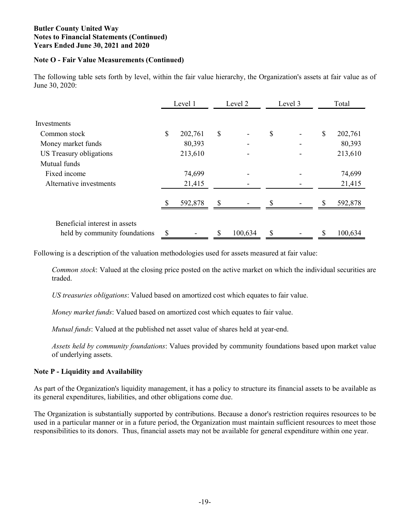#### **Note O - Fair Value Measurements (Continued)**

The following table sets forth by level, within the fair value hierarchy, the Organization's assets at fair value as of June 30, 2020:

|                                                                | Level 1       |    | Level 2 | Level 3 | Total         |
|----------------------------------------------------------------|---------------|----|---------|---------|---------------|
| Investments                                                    |               |    |         |         |               |
| Common stock                                                   | \$<br>202,761 | \$ |         | \$      | \$<br>202,761 |
| Money market funds                                             | 80,393        |    |         |         | 80,393        |
| US Treasury obligations                                        | 213,610       |    |         |         | 213,610       |
| Mutual funds                                                   |               |    |         |         |               |
| Fixed income                                                   | 74,699        |    |         |         | 74,699        |
| Alternative investments                                        | 21,415        |    |         |         | 21,415        |
|                                                                | 592,878       | S  |         |         | 592,878       |
| Beneficial interest in assets<br>held by community foundations | \$            | \$ | 100,634 | \$      | 100,634       |

Following is a description of the valuation methodologies used for assets measured at fair value:

*Common stock*: Valued at the closing price posted on the active market on which the individual securities are traded.

*US treasuries obligations*: Valued based on amortized cost which equates to fair value.

*Money market funds*: Valued based on amortized cost which equates to fair value.

*Mutual funds*: Valued at the published net asset value of shares held at year-end.

*Assets held by community foundations*: Values provided by community foundations based upon market value of underlying assets.

## **Note P - Liquidity and Availability**

As part of the Organization's liquidity management, it has a policy to structure its financial assets to be available as its general expenditures, liabilities, and other obligations come due.

The Organization is substantially supported by contributions. Because a donor's restriction requires resources to be used in a particular manner or in a future period, the Organization must maintain sufficient resources to meet those responsibilities to its donors. Thus, financial assets may not be available for general expenditure within one year.